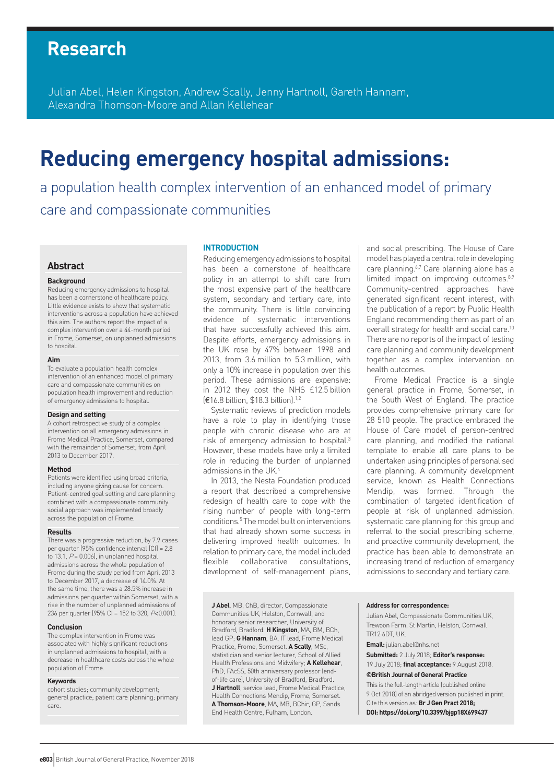## **Research**

Julian Abel, Helen Kingston, Andrew Scally, Jenny Hartnoll, Gareth Hannam, Alexandra Thomson-Moore and Allan Kellehear

# **Reducing emergency hospital admissions:**

a population health complex intervention of an enhanced model of primary care and compassionate communities

## **Abstract**

#### **Background**

Reducing emergency admissions to hospital has been a cornerstone of healthcare policy. Little evidence exists to show that systematic interventions across a population have achieved this aim. The authors report the impact of a complex intervention over a 44-month period in Frome, Somerset, on unplanned admissions to hospital.

## **Aim**

To evaluate a population health complex intervention of an enhanced model of primary care and compassionate communities on population health improvement and reduction of emergency admissions to hospital.

#### **Design and setting**

A cohort retrospective study of a complex intervention on all emergency admissions in Frome Medical Practice, Somerset, compared with the remainder of Somerset, from April 2013 to December 2017.

#### **Method**

Patients were identified using broad criteria, including anyone giving cause for concern. Patient-centred goal setting and care planning combined with a compassionate community social approach was implemented broadly across the population of Frome.

#### **Results**

There was a progressive reduction, by 7.9 cases per quarter (95% confidence interval [CI] = 2.8 to 13.1,  $P = 0.006$ , in unplanned hospital admissions across the whole population of Frome during the study period from April 2013 to December 2017, a decrease of 14.0%. At the same time, there was a 28.5% increase in admissions per quarter within Somerset, with a rise in the number of unplanned admissions of 236 per quarter (95% CI = 152 to 320, P<0.001).

## **Conclusion**

The complex intervention in Frome was associated with highly significant reductions in unplanned admissions to hospital, with a decrease in healthcare costs across the whole population of Frome.

#### **Keywords**

cohort studies; community development; general practice; patient care planning; primary care.

#### **INTRODUCTION**

Reducing emergency admissions to hospital has been a cornerstone of healthcare policy in an attempt to shift care from the most expensive part of the healthcare system, secondary and tertiary care, into the community. There is little convincing evidence of systematic interventions that have successfully achieved this aim. Despite efforts, emergency admissions in the UK rose by 47% between 1998 and 2013, from 3.6 million to 5.3 million, with only a 10% increase in population over this period. These admissions are expensive: in 2012 they cost the NHS £12.5 billion (€16.8 billion, \$18.3 billion).1,2

Systematic reviews of prediction models have a role to play in identifying those people with chronic disease who are at risk of emergency admission to hospital.3 However, these models have only a limited role in reducing the burden of unplanned admissions in the UK.<sup>4</sup>

In 2013, the Nesta Foundation produced a report that described a comprehensive redesign of health care to cope with the rising number of people with long-term conditions.5 The model built on interventions that had already shown some success in delivering improved health outcomes. In relation to primary care, the model included flexible collaborative consultations, development of self-management plans,

and social prescribing. The House of Care model has played a central role in developing care planning.<sup>6,7</sup> Care planning alone has a limited impact on improving outcomes.<sup>8,9</sup> Community-centred approaches have generated significant recent interest, with the publication of a report by Public Health England recommending them as part of an overall strategy for health and social care.10 There are no reports of the impact of testing care planning and community development together as a complex intervention on health outcomes.

Frome Medical Practice is a single general practice in Frome, Somerset, in the South West of England. The practice provides comprehensive primary care for 28 510 people. The practice embraced the House of Care model of person-centred care planning, and modified the national template to enable all care plans to be undertaken using principles of personalised care planning. A community development service, known as Health Connections Mendip, was formed. Through the combination of targeted identification of people at risk of unplanned admission, systematic care planning for this group and referral to the social prescribing scheme, and proactive community development, the practice has been able to demonstrate an increasing trend of reduction of emergency admissions to secondary and tertiary care.

**J Abel**, MB, ChB, director, Compassionate Communities UK, Helston, Cornwall, and honorary senior researcher, University of Bradford, Bradford. **H Kingston**, MA, BM, BCh, lead GP; **G Hannam**, BA, IT lead, Frome Medical Practice, Frome, Somerset. **A Scally**, MSc, statistician and senior lecturer, School of Allied Health Professions and Midwifery; **A Kellehear**, PhD, FAcSS, 50th anniversary professor (endof-life care), University of Bradford, Bradford. **J Hartnoll**, service lead, Frome Medical Practice, Health Connections Mendip, Frome, Somerset. **A Thomson-Moore**, MA, MB, BChir, GP, Sands End Health Centre, Fulham, London.

#### **Address for correspondence:**

Julian Abel, Compassionate Communities UK, Trewoon Farm, St Martin, Helston, Cornwall TR12 6DT, UK.

**Email:** julian.abel@nhs.net

**Submitted:** 2 July 2018; **Editor's response:** 19 July 2018; **final acceptance:** 9 August 2018. **©British Journal of General Practice**

This is the full-length article (published online 9 Oct 2018) of an abridged version published in print. Cite this version as: **Br J Gen Pract 2018; DOI: https://doi.org/10.3399/bjgp18X699437**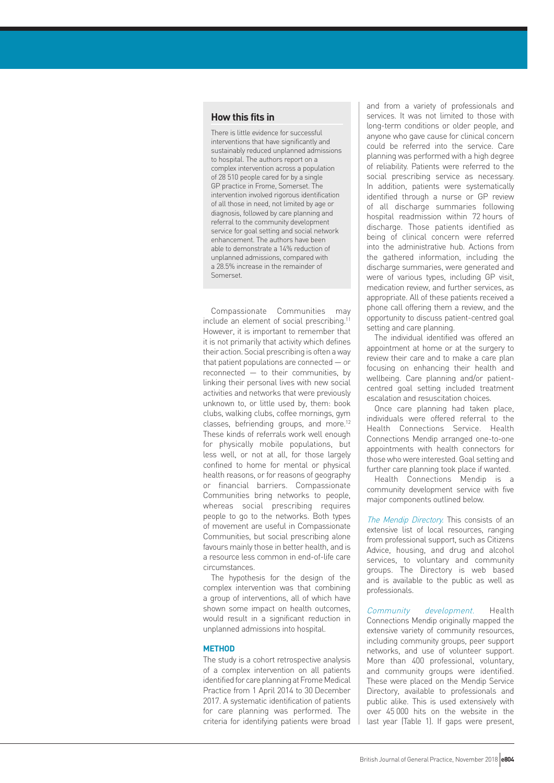## **How this fits in**

There is little evidence for successful interventions that have significantly and sustainably reduced unplanned admissions to hospital. The authors report on a complex intervention across a population of 28 510 people cared for by a single GP practice in Frome, Somerset. The intervention involved rigorous identification of all those in need, not limited by age or diagnosis, followed by care planning and referral to the community development service for goal setting and social network enhancement. The authors have been able to demonstrate a 14% reduction of unplanned admissions, compared with a 28.5% increase in the remainder of Somerset.

Compassionate Communities may include an element of social prescribing.11 However, it is important to remember that it is not primarily that activity which defines their action. Social prescribing is often a way that patient populations are connected — or reconnected — to their communities, by linking their personal lives with new social activities and networks that were previously unknown to, or little used by, them: book clubs, walking clubs, coffee mornings, gym classes, befriending groups, and more.12 These kinds of referrals work well enough for physically mobile populations, but less well, or not at all, for those largely confined to home for mental or physical health reasons, or for reasons of geography or financial barriers. Compassionate Communities bring networks to people, whereas social prescribing requires people to go to the networks. Both types of movement are useful in Compassionate Communities, but social prescribing alone favours mainly those in better health, and is a resource less common in end-of-life care circumstances.

The hypothesis for the design of the complex intervention was that combining a group of interventions, all of which have shown some impact on health outcomes, would result in a significant reduction in unplanned admissions into hospital.

## **METHOD**

The study is a cohort retrospective analysis of a complex intervention on all patients identified for care planning at Frome Medical Practice from 1 April 2014 to 30 December 2017. A systematic identification of patients for care planning was performed. The criteria for identifying patients were broad

and from a variety of professionals and services. It was not limited to those with long-term conditions or older people, and anyone who gave cause for clinical concern could be referred into the service. Care planning was performed with a high degree of reliability. Patients were referred to the social prescribing service as necessary. In addition, patients were systematically identified through a nurse or GP review of all discharge summaries following hospital readmission within 72 hours of discharge. Those patients identified as being of clinical concern were referred into the administrative hub. Actions from the gathered information, including the discharge summaries, were generated and were of various types, including GP visit, medication review, and further services, as appropriate. All of these patients received a phone call offering them a review, and the opportunity to discuss patient-centred goal setting and care planning.

The individual identified was offered an appointment at home or at the surgery to review their care and to make a care plan focusing on enhancing their health and wellbeing. Care planning and/or patientcentred goal setting included treatment escalation and resuscitation choices.

Once care planning had taken place, individuals were offered referral to the Health Connections Service. Health Connections Mendip arranged one-to-one appointments with health connectors for those who were interested. Goal setting and further care planning took place if wanted.

Health Connections Mendip is a community development service with five major components outlined below.

The Mendip Directory. This consists of an extensive list of local resources, ranging from professional support, such as Citizens Advice, housing, and drug and alcohol services, to voluntary and community groups. The Directory is web based and is available to the public as well as professionals.

Community development. Health Connections Mendip originally mapped the extensive variety of community resources, including community groups, peer support networks, and use of volunteer support. More than 400 professional, voluntary, and community groups were identified. These were placed on the Mendip Service Directory, available to professionals and public alike. This is used extensively with over 45 000 hits on the website in the last year (Table 1). If gaps were present,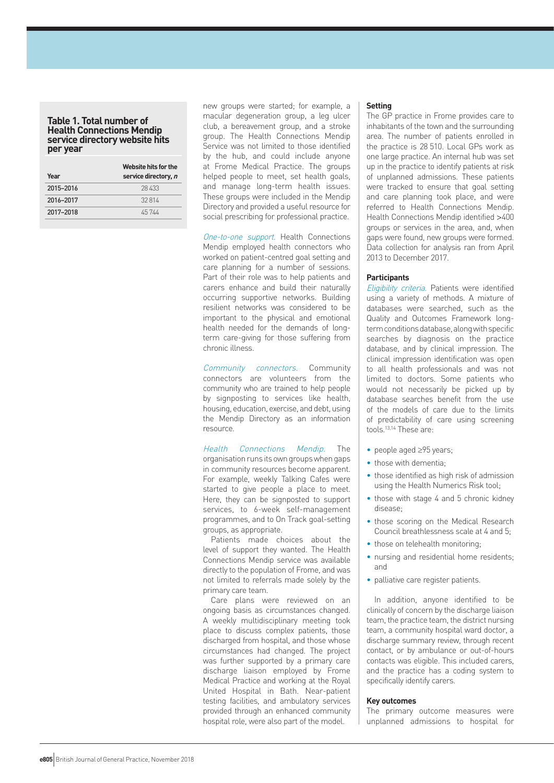## **Table 1. Total number of Health Connections Mendip service directory website hits per year**

|           | Website hits for the |
|-----------|----------------------|
| Year      | service directory, n |
| 2015-2016 | 28.433               |
| 2016-2017 | 32814                |
| 2017-2018 | 45744                |
|           |                      |

new groups were started; for example, a macular degeneration group, a leg ulcer club, a bereavement group, and a stroke group. The Health Connections Mendip Service was not limited to those identified by the hub, and could include anyone at Frome Medical Practice. The groups helped people to meet, set health goals, and manage long-term health issues. These groups were included in the Mendip Directory and provided a useful resource for social prescribing for professional practice.

One-to-one support. Health Connections Mendip employed health connectors who worked on patient-centred goal setting and care planning for a number of sessions. Part of their role was to help patients and carers enhance and build their naturally occurring supportive networks. Building resilient networks was considered to be important to the physical and emotional health needed for the demands of longterm care-giving for those suffering from chronic illness.

Community connectors. Community connectors are volunteers from the community who are trained to help people by signposting to services like health, housing, education, exercise, and debt, using the Mendip Directory as an information resource.

Health Connections Mendip. The organisation runs its own groups when gaps in community resources become apparent. For example, weekly Talking Cafes were started to give people a place to meet. Here, they can be signposted to support services, to 6-week self-management programmes, and to On Track goal-setting groups, as appropriate.

Patients made choices about the level of support they wanted. The Health Connections Mendip service was available directly to the population of Frome, and was not limited to referrals made solely by the primary care team.

Care plans were reviewed on an ongoing basis as circumstances changed. A weekly multidisciplinary meeting took place to discuss complex patients, those discharged from hospital, and those whose circumstances had changed. The project was further supported by a primary care discharge liaison employed by Frome Medical Practice and working at the Royal United Hospital in Bath. Near-patient testing facilities, and ambulatory services provided through an enhanced community hospital role, were also part of the model.

## **Setting**

The GP practice in Frome provides care to inhabitants of the town and the surrounding area. The number of patients enrolled in the practice is 28 510. Local GPs work as one large practice. An internal hub was set up in the practice to identify patients at risk of unplanned admissions. These patients were tracked to ensure that goal setting and care planning took place, and were referred to Health Connections Mendip. Health Connections Mendip identified >400 groups or services in the area, and, when gaps were found, new groups were formed. Data collection for analysis ran from April 2013 to December 2017.

## **Participants**

Eligibility criteria. Patients were identified using a variety of methods. A mixture of databases were searched, such as the Quality and Outcomes Framework longterm conditions database, along with specific searches by diagnosis on the practice database, and by clinical impression. The clinical impression identification was open to all health professionals and was not limited to doctors. Some patients who would not necessarily be picked up by database searches benefit from the use of the models of care due to the limits of predictability of care using screening tools.13,14 These are:

- people aged ≥95 years;
- those with dementia;
- those identified as high risk of admission using the Health Numerics Risk tool;
- those with stage 4 and 5 chronic kidney disease;
- those scoring on the Medical Research Council breathlessness scale at 4 and 5;
- those on telehealth monitoring;
- nursing and residential home residents; and
- palliative care register patients.

In addition, anyone identified to be clinically of concern by the discharge liaison team, the practice team, the district nursing team, a community hospital ward doctor, a discharge summary review, through recent contact, or by ambulance or out-of-hours contacts was eligible. This included carers, and the practice has a coding system to specifically identify carers.

## **Key outcomes**

The primary outcome measures were unplanned admissions to hospital for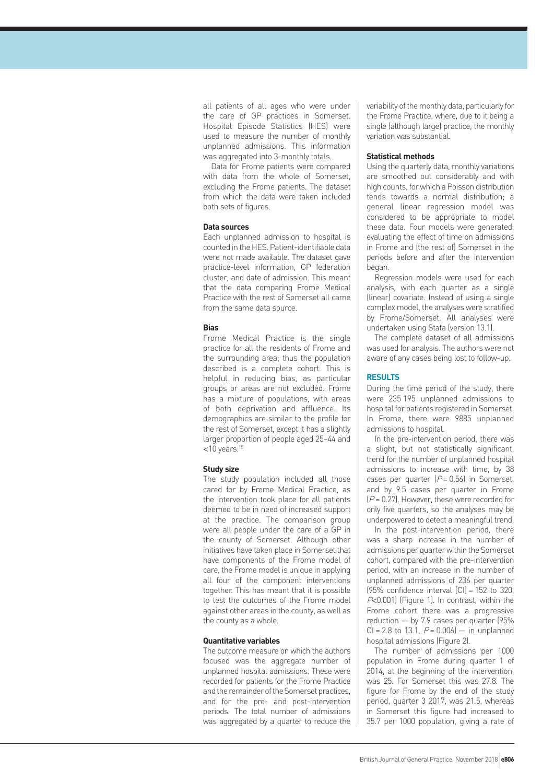all patients of all ages who were under the care of GP practices in Somerset. Hospital Episode Statistics (HES) were used to measure the number of monthly unplanned admissions. This information was aggregated into 3-monthly totals.

Data for Frome patients were compared with data from the whole of Somerset, excluding the Frome patients. The dataset from which the data were taken included both sets of figures.

## **Data sources**

Each unplanned admission to hospital is counted in the HES. Patient-identifiable data were not made available. The dataset gave practice-level information, GP federation cluster, and date of admission. This meant that the data comparing Frome Medical Practice with the rest of Somerset all came from the same data source.

## **Bias**

Frome Medical Practice is the single practice for all the residents of Frome and the surrounding area; thus the population described is a complete cohort. This is helpful in reducing bias, as particular groups or areas are not excluded. Frome has a mixture of populations, with areas of both deprivation and affluence. Its demographics are similar to the profile for the rest of Somerset, except it has a slightly larger proportion of people aged 25–44 and  $<$ 10 years. $15$ 

## **Study size**

The study population included all those cared for by Frome Medical Practice, as the intervention took place for all patients deemed to be in need of increased support at the practice. The comparison group were all people under the care of a GP in the county of Somerset. Although other initiatives have taken place in Somerset that have components of the Frome model of care, the Frome model is unique in applying all four of the component interventions together. This has meant that it is possible to test the outcomes of the Frome model against other areas in the county, as well as the county as a whole.

## **Quantitative variables**

The outcome measure on which the authors focused was the aggregate number of unplanned hospital admissions. These were recorded for patients for the Frome Practice and the remainder of the Somerset practices, and for the pre- and post-intervention periods. The total number of admissions was aggregated by a quarter to reduce the

variability of the monthly data, particularly for the Frome Practice, where, due to it being a single (although large) practice, the monthly variation was substantial.

## **Statistical methods**

Using the quarterly data, monthly variations are smoothed out considerably and with high counts, for which a Poisson distribution tends towards a normal distribution; a general linear regression model was considered to be appropriate to model these data. Four models were generated, evaluating the effect of time on admissions in Frome and (the rest of) Somerset in the periods before and after the intervention began.

Regression models were used for each analysis, with each quarter as a single (linear) covariate. Instead of using a single complex model, the analyses were stratified by Frome/Somerset. All analyses were undertaken using Stata (version 13.1).

The complete dataset of all admissions was used for analysis. The authors were not aware of any cases being lost to follow-up.

## **RESULTS**

During the time period of the study, there were 235 195 unplanned admissions to hospital for patients registered in Somerset. In Frome, there were 9885 unplanned admissions to hospital.

In the pre-intervention period, there was a slight, but not statistically significant, trend for the number of unplanned hospital admissions to increase with time, by 38 cases per quarter  $[P = 0.56]$  in Somerset, and by 9.5 cases per quarter in Frome  $(P = 0.27)$ . However, these were recorded for only five quarters, so the analyses may be underpowered to detect a meaningful trend.

In the post-intervention period, there was a sharp increase in the number of admissions per quarter within the Somerset cohort, compared with the pre-intervention period, with an increase in the number of unplanned admissions of 236 per quarter  $(95%$  confidence interval  $[Cl] = 152$  to 320, P<0.001) (Figure 1). In contrast, within the Frome cohort there was a progressive reduction — by 7.9 cases per quarter (95%  $Cl = 2.8$  to 13.1,  $P = 0.006$  — in unplanned hospital admissions (Figure 2).

The number of admissions per 1000 population in Frome during quarter 1 of 2014, at the beginning of the intervention, was 25. For Somerset this was 27.8. The figure for Frome by the end of the study period, quarter 3 2017, was 21.5, whereas in Somerset this figure had increased to 35.7 per 1000 population, giving a rate of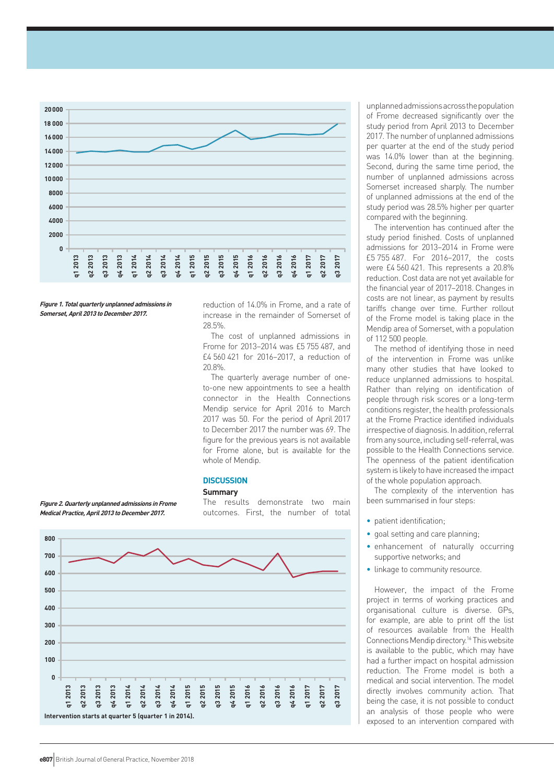

**Figure 1. Total quarterly unplanned admissions in Somerset, April 2013 to December 2017.**

reduction of 14.0% in Frome, and a rate of increase in the remainder of Somerset of 28.5%.

The cost of unplanned admissions in Frome for 2013–2014 was £5 755 487, and £4 560 421 for 2016–2017, a reduction of 20.8%.

The quarterly average number of oneto-one new appointments to see a health connector in the Health Connections Mendip service for April 2016 to March 2017 was 50. For the period of April 2017 to December 2017 the number was 69. The figure for the previous years is not available for Frome alone, but is available for the whole of Mendip.

## **DISCUSSION**

## **Summary**

**300 400 500 600 700 800**

The results demonstrate two main outcomes. First, the number of total

**q1 2013 Intervention starts at quarter 5 (quarter 1 in 2014). q2 2013 q3 2013 q4 2013 q1 2014 q2 2014 q3 2014 q4 2014 q1 2015 q2 2015 q3 2015 q4 2015 q1 2016 q2 2016 q3 2016 q4 2016 q1 2017 q2 2017 q3 2017 0 100 200**

unplanned admissions across the population of Frome decreased significantly over the study period from April 2013 to December 2017. The number of unplanned admissions per quarter at the end of the study period was 14.0% lower than at the beginning. Second, during the same time period, the number of unplanned admissions across Somerset increased sharply. The number of unplanned admissions at the end of the study period was 28.5% higher per quarter compared with the beginning.

The intervention has continued after the study period finished. Costs of unplanned admissions for 2013–2014 in Frome were £5 755 487. For 2016–2017, the costs were £4 560 421. This represents a 20.8% reduction. Cost data are not yet available for the financial year of 2017–2018. Changes in costs are not linear, as payment by results tariffs change over time. Further rollout of the Frome model is taking place in the Mendip area of Somerset, with a population of 112 500 people.

The method of identifying those in need of the intervention in Frome was unlike many other studies that have looked to reduce unplanned admissions to hospital. Rather than relying on identification of people through risk scores or a long-term conditions register, the health professionals at the Frome Practice identified individuals irrespective of diagnosis. In addition, referral from any source, including self-referral, was possible to the Health Connections service. The openness of the patient identification system is likely to have increased the impact of the whole population approach.

The complexity of the intervention has been summarised in four steps:

- patient identification;
- goal setting and care planning;
- enhancement of naturally occurring supportive networks; and
- linkage to community resource.

However, the impact of the Frome project in terms of working practices and organisational culture is diverse. GPs, for example, are able to print off the list of resources available from the Health Connections Mendip directory.16 This website is available to the public, which may have had a further impact on hospital admission reduction. The Frome model is both a medical and social intervention. The model directly involves community action. That being the case, it is not possible to conduct an analysis of those people who were exposed to an intervention compared with

**Figure 2. Quarterly unplanned admissions in Frome Medical Practice, April 2013 to December 2017.**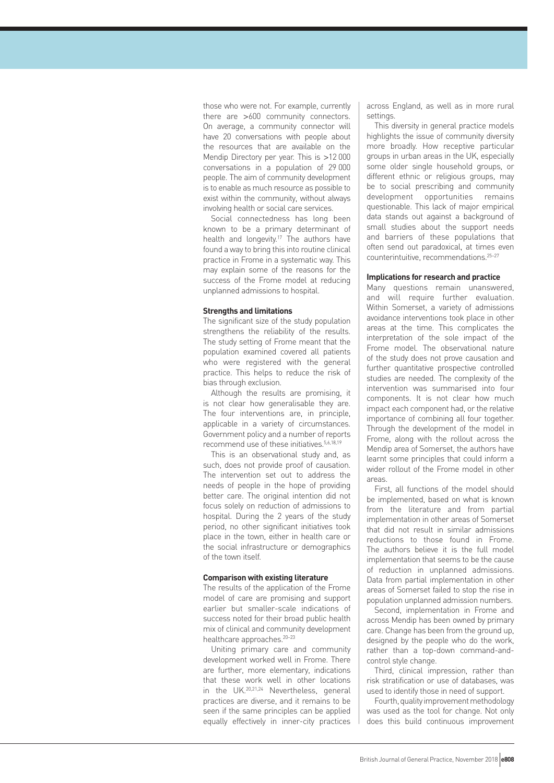those who were not. For example, currently there are >600 community connectors. On average, a community connector will have 20 conversations with people about the resources that are available on the Mendip Directory per year. This is >12 000 conversations in a population of 29 000 people. The aim of community development is to enable as much resource as possible to exist within the community, without always involving health or social care services.

Social connectedness has long been known to be a primary determinant of health and longevity.<sup>17</sup> The authors have found a way to bring this into routine clinical practice in Frome in a systematic way. This may explain some of the reasons for the success of the Frome model at reducing unplanned admissions to hospital.

## **Strengths and limitations**

The significant size of the study population strengthens the reliability of the results. The study setting of Frome meant that the population examined covered all patients who were registered with the general practice. This helps to reduce the risk of bias through exclusion.

Although the results are promising, it is not clear how generalisable they are. The four interventions are, in principle, applicable in a variety of circumstances. Government policy and a number of reports recommend use of these initiatives  $5,6,18,19$ 

This is an observational study and, as such, does not provide proof of causation. The intervention set out to address the needs of people in the hope of providing better care. The original intention did not focus solely on reduction of admissions to hospital. During the 2 years of the study period, no other significant initiatives took place in the town, either in health care or the social infrastructure or demographics of the town itself.

## **Comparison with existing literature**

The results of the application of the Frome model of care are promising and support earlier but smaller-scale indications of success noted for their broad public health mix of clinical and community development healthcare approaches.<sup>20-23</sup>

Uniting primary care and community development worked well in Frome. There are further, more elementary, indications that these work well in other locations in the UK.20,21,24 Nevertheless, general practices are diverse, and it remains to be seen if the same principles can be applied equally effectively in inner-city practices across England, as well as in more rural settings.

This diversity in general practice models highlights the issue of community diversity more broadly. How receptive particular groups in urban areas in the UK, especially some older single household groups, or different ethnic or religious groups, may be to social prescribing and community development opportunities remains questionable. This lack of major empirical data stands out against a background of small studies about the support needs and barriers of these populations that often send out paradoxical, at times even counterintuitive, recommendations.25–27

## **Implications for research and practice**

Many questions remain unanswered, and will require further evaluation. Within Somerset, a variety of admissions avoidance interventions took place in other areas at the time. This complicates the interpretation of the sole impact of the Frome model. The observational nature of the study does not prove causation and further quantitative prospective controlled studies are needed. The complexity of the intervention was summarised into four components. It is not clear how much impact each component had, or the relative importance of combining all four together. Through the development of the model in Frome, along with the rollout across the Mendip area of Somerset, the authors have learnt some principles that could inform a wider rollout of the Frome model in other areas.

First, all functions of the model should be implemented, based on what is known from the literature and from partial implementation in other areas of Somerset that did not result in similar admissions reductions to those found in Frome. The authors believe it is the full model implementation that seems to be the cause of reduction in unplanned admissions. Data from partial implementation in other areas of Somerset failed to stop the rise in population unplanned admission numbers.

Second, implementation in Frome and across Mendip has been owned by primary care. Change has been from the ground up, designed by the people who do the work, rather than a top-down command-andcontrol style change.

Third, clinical impression, rather than risk stratification or use of databases, was used to identify those in need of support.

Fourth, quality improvement methodology was used as the tool for change. Not only does this build continuous improvement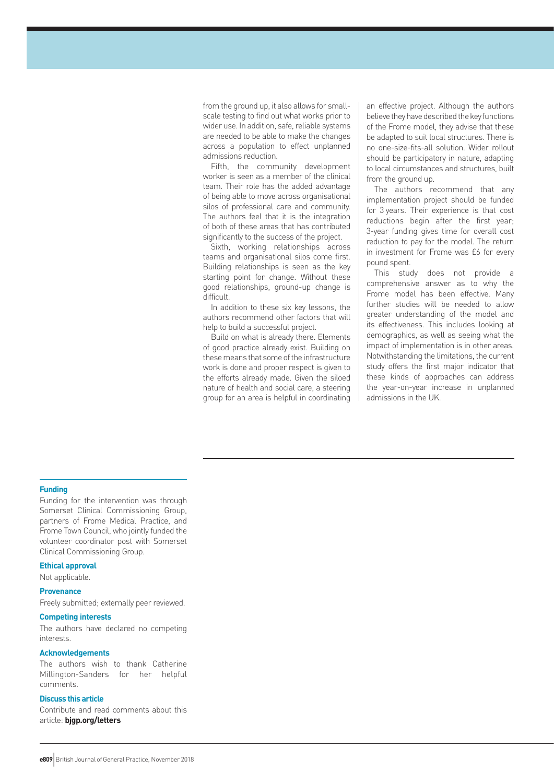from the ground up, it also allows for smallscale testing to find out what works prior to wider use. In addition, safe, reliable systems are needed to be able to make the changes across a population to effect unplanned admissions reduction.

Fifth, the community development worker is seen as a member of the clinical team. Their role has the added advantage of being able to move across organisational silos of professional care and community. The authors feel that it is the integration of both of these areas that has contributed significantly to the success of the project.

Sixth, working relationships across teams and organisational silos come first. Building relationships is seen as the key starting point for change. Without these good relationships, ground-up change is difficult.

In addition to these six key lessons, the authors recommend other factors that will help to build a successful project.

Build on what is already there. Elements of good practice already exist. Building on these means that some of the infrastructure work is done and proper respect is given to the efforts already made. Given the siloed nature of health and social care, a steering group for an area is helpful in coordinating an effective project. Although the authors believe they have described the key functions of the Frome model, they advise that these be adapted to suit local structures. There is no one-size-fits-all solution. Wider rollout should be participatory in nature, adapting to local circumstances and structures, built from the ground up.

The authors recommend that any implementation project should be funded for 3 years. Their experience is that cost reductions begin after the first year; 3-year funding gives time for overall cost reduction to pay for the model. The return in investment for Frome was £6 for every pound spent.

This study does not provide a comprehensive answer as to why the Frome model has been effective. Many further studies will be needed to allow greater understanding of the model and its effectiveness. This includes looking at demographics, as well as seeing what the impact of implementation is in other areas. Notwithstanding the limitations, the current study offers the first major indicator that these kinds of approaches can address the year-on-year increase in unplanned admissions in the UK.

#### **Funding**

Funding for the intervention was through Somerset Clinical Commissioning Group, partners of Frome Medical Practice, and Frome Town Council, who jointly funded the volunteer coordinator post with Somerset Clinical Commissioning Group.

## **Ethical approval**

Not applicable.

## **Provenance**

Freely submitted; externally peer reviewed.

## **Competing interests**

The authors have declared no competing interests.

## **Acknowledgements**

The authors wish to thank Catherine Millington-Sanders for her helpful comments.

## **Discuss this article**

Contribute and read comments about this article: **bjgp.org/letters**